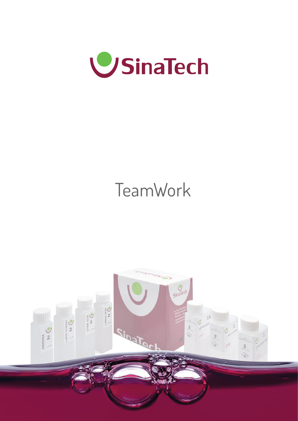

# **TeamWork**

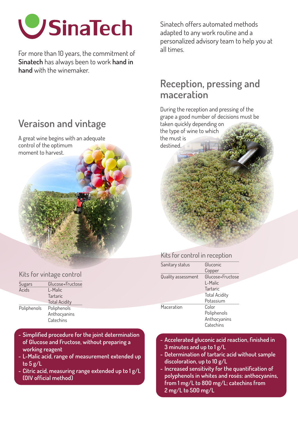

For more than 10 years, the commitment of **Sinatech** has always been to work **hand in hand** with the winemaker.

## **Veraison and vintage**

A great wine begins with an adequate control of the optimum



#### Kits for vintage control

| Sugars      | Glucose+Fructose     |  |
|-------------|----------------------|--|
| Acids       | L-Malic              |  |
|             | <b>Tartaric</b>      |  |
|             | <b>Total Acidity</b> |  |
| Poliphenols | Poliphenols          |  |
|             | Anthocyanins         |  |
|             | Catechins            |  |

- **Simplified procedure for the joint determination of Glucose and Fructose, without preparing a working reagent**
- **L-Malic acid, range of measurement extended up to 5 g/L**
- **Citric acid, measuring range extended up to 1 g/L (OIV official method)**

Sinatech offers automated methods adapted to any work routine and a personalized advisory team to help you at all times.

### **Reception, pressing and maceration**

During the reception and pressing of the grape a good number of decisions must be taken quickly depending on the type of wine to which the must is destined.

#### Kits for control in reception

| Gluconic             |  |
|----------------------|--|
| Copper               |  |
| Glucose+Fructose     |  |
| L-Malic              |  |
| Tartaric             |  |
| <b>Total Acidity</b> |  |
| Potassium            |  |
| Color                |  |
| Poliphenols          |  |
| Anthocyanins         |  |
| Catechins            |  |
|                      |  |

- **Accelerated gluconic acid reaction, finished in 3 minutes and up to 1 g/L**
- **Determination of tartaric acid without sample discoloration, up to 10 g/L**
- **Increased sensitivity for the quantification of polyphenols in whites and rosés: anthocyanins, from 1 mg/L to 800 mg/L; catechins from 2 mg/L to 500 mg/L**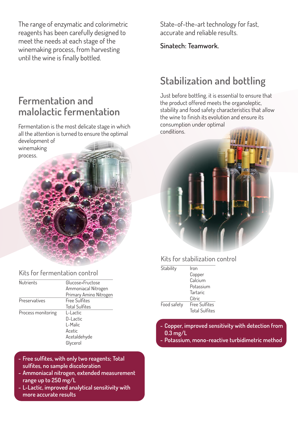The range of enzymatic and colorimetric reagents has been carefully designed to meet the needs at each stage of the winemaking process, from harvesting until the wine is finally bottled.

**Fermentation and malolactic fermentation**

Fermentation is the most delicate stage in which all the attention is turned to ensure the optimal development of winemaking process.



| <b>Nutrients</b>   | Glucose+Fructose       |  |
|--------------------|------------------------|--|
|                    | Ammoniacal Nitrogen    |  |
|                    | Primary Amino Nitrogen |  |
| Preservatives      | <b>Free Sulfites</b>   |  |
|                    | <b>Total Sulfites</b>  |  |
| Process monitoring | L-Lactic               |  |
|                    | D-Lactic               |  |
|                    | l -Malic               |  |
|                    | Acetic                 |  |
|                    | Acetaldehyde           |  |
|                    | Glycerol               |  |

- **Free sulfites, with only two reagents; Total sulfites, no sample discoloration**
- **Ammoniacal nitrogen, extended measurement range up to 250 mg/L**
- **L-Lactic, improved analytical sensitivity with more accurate results**

State-of-the-art technology for fast, accurate and reliable results.

**Sinatech: Teamwork.**

# **Stabilization and bottling**

Just before bottling, it is essential to ensure that the product offered meets the organoleptic, stability and food safety characteristics that allow the wine to finish its evolution and ensure its consumption under optimal conditions.



#### Kits for stabilization control

| Stability   | Iron                  |
|-------------|-----------------------|
|             | Copper                |
|             | Calcium               |
|             | Potassium             |
|             | Tartaric              |
|             | Citric                |
| Food safety | Free Sulfites         |
|             | <b>Total Sulfites</b> |

- **Copper, improved sensitivity with detection from 0.3 mg/L**
- **Potassium, mono-reactive turbidimetric method**